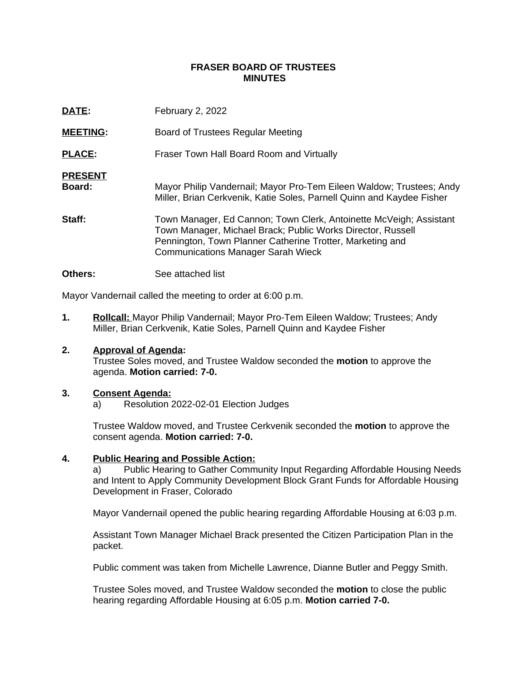## **FRASER BOARD OF TRUSTEES MINUTES**

| DATE:                    | February 2, 2022                                                                                                                                                                                                                            |
|--------------------------|---------------------------------------------------------------------------------------------------------------------------------------------------------------------------------------------------------------------------------------------|
| <b>MEETING:</b>          | Board of Trustees Regular Meeting                                                                                                                                                                                                           |
| <b>PLACE:</b>            | Fraser Town Hall Board Room and Virtually                                                                                                                                                                                                   |
| <b>PRESENT</b><br>Board: | Mayor Philip Vandernail; Mayor Pro-Tem Eileen Waldow; Trustees; Andy<br>Miller, Brian Cerkvenik, Katie Soles, Parnell Quinn and Kaydee Fisher                                                                                               |
| Staff:                   | Town Manager, Ed Cannon; Town Clerk, Antoinette McVeigh; Assistant<br>Town Manager, Michael Brack; Public Works Director, Russell<br>Pennington, Town Planner Catherine Trotter, Marketing and<br><b>Communications Manager Sarah Wieck</b> |

**Others:** See attached list

Mayor Vandernail called the meeting to order at 6:00 p.m.

**1. Rollcall:** Mayor Philip Vandernail; Mayor Pro-Tem Eileen Waldow; Trustees; Andy Miller, Brian Cerkvenik, Katie Soles, Parnell Quinn and Kaydee Fisher

# **2. Approval of Agenda:**

Trustee Soles moved, and Trustee Waldow seconded the **motion** to approve the agenda. **Motion carried: 7-0.**

### **3. Consent Agenda:**

a) Resolution 2022-02-01 Election Judges

Trustee Waldow moved, and Trustee Cerkvenik seconded the **motion** to approve the consent agenda. **Motion carried: 7-0.**

### **4. Public Hearing and Possible Action:**

a) Public Hearing to Gather Community Input Regarding Affordable Housing Needs and Intent to Apply Community Development Block Grant Funds for Affordable Housing Development in Fraser, Colorado

Mayor Vandernail opened the public hearing regarding Affordable Housing at 6:03 p.m.

Assistant Town Manager Michael Brack presented the Citizen Participation Plan in the packet.

Public comment was taken from Michelle Lawrence, Dianne Butler and Peggy Smith.

Trustee Soles moved, and Trustee Waldow seconded the **motion** to close the public hearing regarding Affordable Housing at 6:05 p.m. **Motion carried 7-0.**